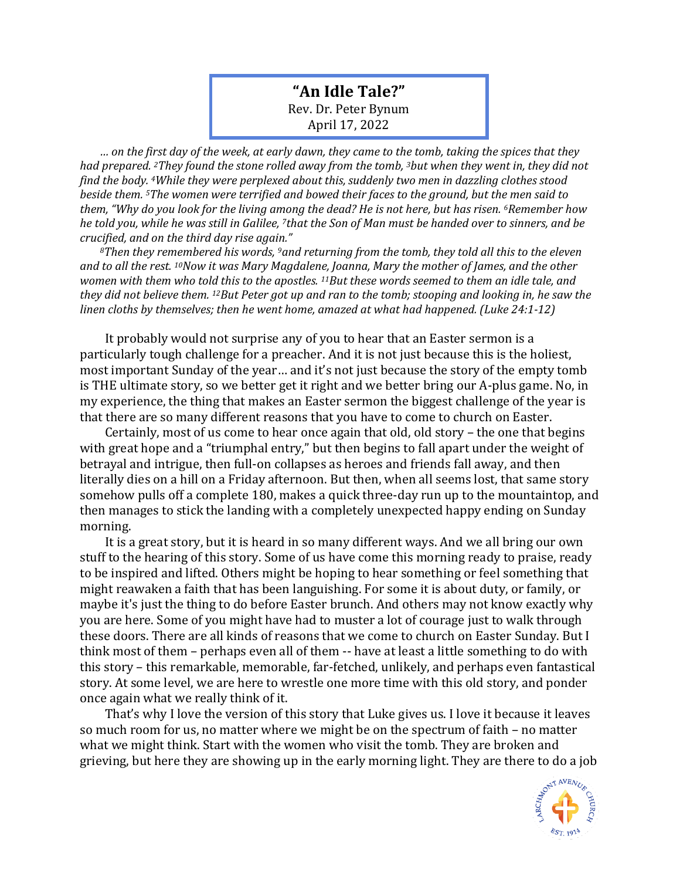## **"An Idle Tale?"** Rev. Dr. Peter Bynum April 17, 2022

*… on the first day of the week, at early dawn, they came to the tomb, taking the spices that they had prepared. 2They found the stone rolled away from the tomb, 3but when they went in, they did not find the body. 4While they were perplexed about this, suddenly two men in dazzling clothes stood beside them. 5The women were terrified and bowed their faces to the ground, but the men said to them, "Why do you look for the living among the dead? He is not here, but has risen. 6Remember how he told you, while he was still in Galilee, 7that the Son of Man must be handed over to sinners, and be crucified, and on the third day rise again."* 

*<sup>8</sup>Then they remembered his words, 9and returning from the tomb, they told all this to the eleven and to all the rest. 10Now it was Mary Magdalene, Joanna, Mary the mother of James, and the other women with them who told this to the apostles. 11But these words seemed to them an idle tale, and they did not believe them. 12But Peter got up and ran to the tomb; stooping and looking in, he saw the linen cloths by themselves; then he went home, amazed at what had happened. (Luke 24:1-12)*

It probably would not surprise any of you to hear that an Easter sermon is a particularly tough challenge for a preacher. And it is not just because this is the holiest, most important Sunday of the year… and it's not just because the story of the empty tomb is THE ultimate story, so we better get it right and we better bring our A-plus game. No, in my experience, the thing that makes an Easter sermon the biggest challenge of the year is that there are so many different reasons that you have to come to church on Easter.

Certainly, most of us come to hear once again that old, old story – the one that begins with great hope and a "triumphal entry," but then begins to fall apart under the weight of betrayal and intrigue, then full-on collapses as heroes and friends fall away, and then literally dies on a hill on a Friday afternoon. But then, when all seems lost, that same story somehow pulls off a complete 180, makes a quick three-day run up to the mountaintop, and then manages to stick the landing with a completely unexpected happy ending on Sunday morning.

It is a great story, but it is heard in so many different ways. And we all bring our own stuff to the hearing of this story. Some of us have come this morning ready to praise, ready to be inspired and lifted. Others might be hoping to hear something or feel something that might reawaken a faith that has been languishing. For some it is about duty, or family, or maybe it's just the thing to do before Easter brunch. And others may not know exactly why you are here. Some of you might have had to muster a lot of courage just to walk through these doors. There are all kinds of reasons that we come to church on Easter Sunday. But I think most of them – perhaps even all of them -- have at least a little something to do with this story – this remarkable, memorable, far-fetched, unlikely, and perhaps even fantastical story. At some level, we are here to wrestle one more time with this old story, and ponder once again what we really think of it.

That's why I love the version of this story that Luke gives us. I love it because it leaves so much room for us, no matter where we might be on the spectrum of faith – no matter what we might think. Start with the women who visit the tomb. They are broken and grieving, but here they are showing up in the early morning light. They are there to do a job

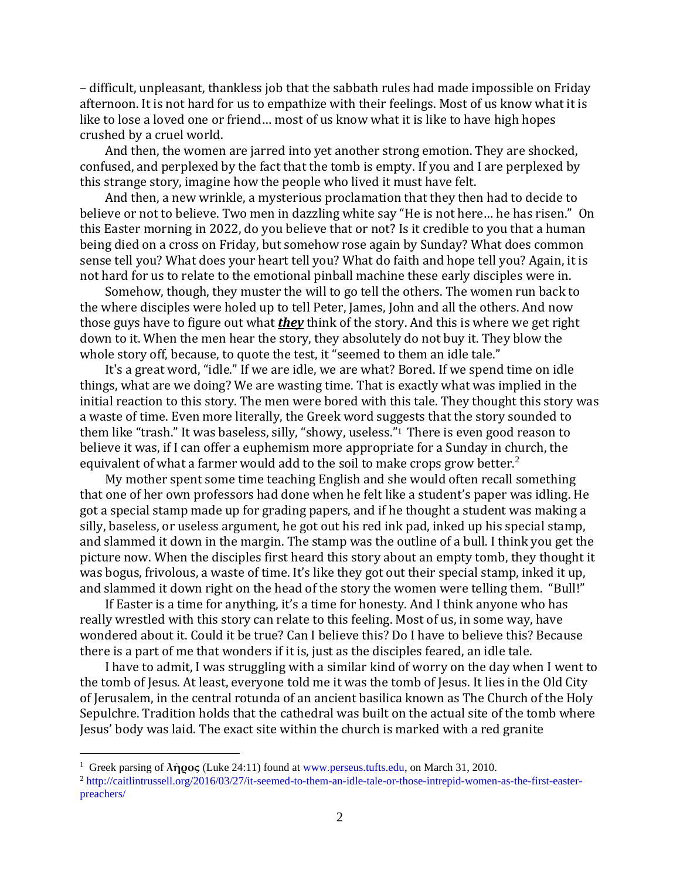– difficult, unpleasant, thankless job that the sabbath rules had made impossible on Friday afternoon. It is not hard for us to empathize with their feelings. Most of us know what it is like to lose a loved one or friend… most of us know what it is like to have high hopes crushed by a cruel world.

And then, the women are jarred into yet another strong emotion. They are shocked, confused, and perplexed by the fact that the tomb is empty. If you and I are perplexed by this strange story, imagine how the people who lived it must have felt.

And then, a new wrinkle, a mysterious proclamation that they then had to decide to believe or not to believe. Two men in dazzling white say "He is not here… he has risen." On this Easter morning in 2022, do you believe that or not? Is it credible to you that a human being died on a cross on Friday, but somehow rose again by Sunday? What does common sense tell you? What does your heart tell you? What do faith and hope tell you? Again, it is not hard for us to relate to the emotional pinball machine these early disciples were in.

Somehow, though, they muster the will to go tell the others. The women run back to the where disciples were holed up to tell Peter, James, John and all the others. And now those guys have to figure out what *they* think of the story. And this is where we get right down to it. When the men hear the story, they absolutely do not buy it. They blow the whole story off, because, to quote the test, it "seemed to them an idle tale."

It's a great word, "idle." If we are idle, we are what? Bored. If we spend time on idle things, what are we doing? We are wasting time. That is exactly what was implied in the initial reaction to this story. The men were bored with this tale. They thought this story was a waste of time. Even more literally, the Greek word suggests that the story sounded to them like "trash." It was baseless, silly, "showy, useless."<sup>1</sup> There is even good reason to believe it was, if I can offer a euphemism more appropriate for a Sunday in church, the equivalent of what a farmer would add to the soil to make crops grow better.<sup>2</sup>

My mother spent some time teaching English and she would often recall something that one of her own professors had done when he felt like a student's paper was idling. He got a special stamp made up for grading papers, and if he thought a student was making a silly, baseless, or useless argument, he got out his red ink pad, inked up his special stamp, and slammed it down in the margin. The stamp was the outline of a bull. I think you get the picture now. When the disciples first heard this story about an empty tomb, they thought it was bogus, frivolous, a waste of time. It's like they got out their special stamp, inked it up, and slammed it down right on the head of the story the women were telling them. "Bull!"

If Easter is a time for anything, it's a time for honesty. And I think anyone who has really wrestled with this story can relate to this feeling. Most of us, in some way, have wondered about it. Could it be true? Can I believe this? Do I have to believe this? Because there is a part of me that wonders if it is, just as the disciples feared, an idle tale.

I have to admit, I was struggling with a similar kind of worry on the day when I went to the tomb of Jesus. At least, everyone told me it was the tomb of Jesus. It lies in the Old City of Jerusalem, in the central rotunda of an ancient basilica known as The Church of the Holy Sepulchre. Tradition holds that the cathedral was built on the actual site of the tomb where Jesus' body was laid. The exact site within the church is marked with a red granite

<sup>1</sup> Greek parsing of **λῆρος** (Luke 24:11) found at [www.perseus.tufts.edu,](http://www.perseus.tufts.edu/) on March 31, 2010.

<sup>2</sup> [http://caitlintrussell.org/2016/03/27/it-seemed-to-them-an-idle-tale-or-those-intrepid-women-as-the-first-easter](http://caitlintrussell.org/2016/03/27/it-seemed-to-them-an-idle-tale-or-those-intrepid-women-as-the-first-easter-preachers/)[preachers/](http://caitlintrussell.org/2016/03/27/it-seemed-to-them-an-idle-tale-or-those-intrepid-women-as-the-first-easter-preachers/)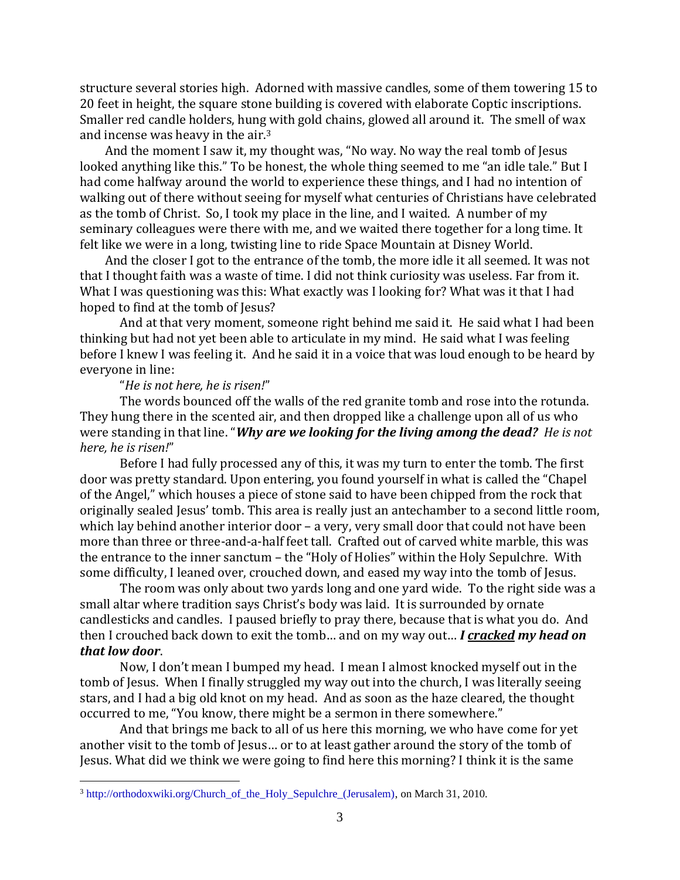structure several stories high. Adorned with massive candles, some of them towering 15 to 20 feet in height, the square stone building is covered with elaborate Coptic inscriptions. Smaller red candle holders, hung with gold chains, glowed all around it. The smell of wax and incense was heavy in the air.<sup>3</sup>

And the moment I saw it, my thought was, "No way. No way the real tomb of Jesus looked anything like this." To be honest, the whole thing seemed to me "an idle tale." But I had come halfway around the world to experience these things, and I had no intention of walking out of there without seeing for myself what centuries of Christians have celebrated as the tomb of Christ. So, I took my place in the line, and I waited. A number of my seminary colleagues were there with me, and we waited there together for a long time. It felt like we were in a long, twisting line to ride Space Mountain at Disney World.

And the closer I got to the entrance of the tomb, the more idle it all seemed. It was not that I thought faith was a waste of time. I did not think curiosity was useless. Far from it. What I was questioning was this: What exactly was I looking for? What was it that I had hoped to find at the tomb of Jesus?

And at that very moment, someone right behind me said it. He said what I had been thinking but had not yet been able to articulate in my mind. He said what I was feeling before I knew I was feeling it. And he said it in a voice that was loud enough to be heard by everyone in line:

## "*He is not here, he is risen!*"

The words bounced off the walls of the red granite tomb and rose into the rotunda. They hung there in the scented air, and then dropped like a challenge upon all of us who were standing in that line. "*Why are we looking for the living among the dead? He is not here, he is risen!*"

Before I had fully processed any of this, it was my turn to enter the tomb. The first door was pretty standard. Upon entering, you found yourself in what is called the "Chapel of the Angel," which houses a piece of stone said to have been chipped from the rock that originally sealed Jesus' tomb. This area is really just an antechamber to a second little room, which lay behind another interior door – a very, very small door that could not have been more than three or three-and-a-half feet tall. Crafted out of carved white marble, this was the entrance to the inner sanctum – the "Holy of Holies" within the Holy Sepulchre. With some difficulty, I leaned over, crouched down, and eased my way into the tomb of Jesus.

The room was only about two yards long and one yard wide. To the right side was a small altar where tradition says Christ's body was laid. It is surrounded by ornate candlesticks and candles. I paused briefly to pray there, because that is what you do. And then I crouched back down to exit the tomb… and on my way out… *I cracked my head on that low door*.

Now, I don't mean I bumped my head. I mean I almost knocked myself out in the tomb of Jesus. When I finally struggled my way out into the church, I was literally seeing stars, and I had a big old knot on my head. And as soon as the haze cleared, the thought occurred to me, "You know, there might be a sermon in there somewhere."

And that brings me back to all of us here this morning, we who have come for yet another visit to the tomb of Jesus... or to at least gather around the story of the tomb of Jesus. What did we think we were going to find here this morning? I think it is the same

<sup>3</sup> [http://orthodoxwiki.org/Church\\_of\\_the\\_Holy\\_Sepulchre\\_\(Jerusalem\),](http://orthodoxwiki.org/Church_of_the_Holy_Sepulchre_(Jerusalem)) on March 31, 2010.